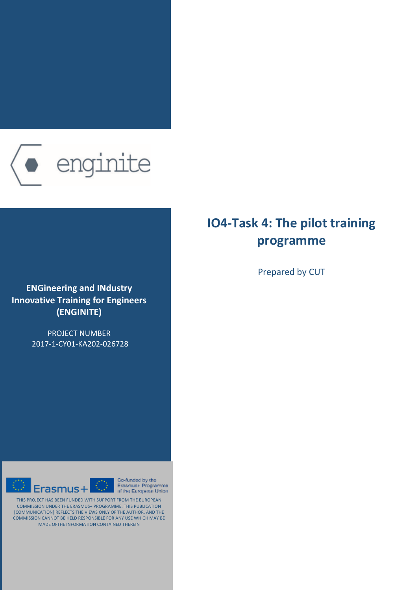

**ENGineering and IΝdustry Innovative Training for Engineers (ENGINITE)**

> PROJECT NUMBER 2017-1-CY01-KA202-026728



Co-funded by the Erasmus+ Programme of the European Union

THIS PROJECT HAS BEEN FUNDED WITH SUPPORT FROM THE EUROPEAN COMMISSION UNDER THE ERASMUS+ PROGRAMME. THIS PUBLICATION [COMMUNICATION] REFLECTS THE VIEWS ONLY OF THE AUTHOR, AND THE COMMISSION CANNOT BE HELD RESPONSIBLE FOR ANY USE WHICH MAY BE MADE OFTHE INFORMATION CONTAINED THEREIN

 $\overline{\mathbb{O}}$ 

# **IO4-Task 4: The pilot training programme**

Prepared by CUT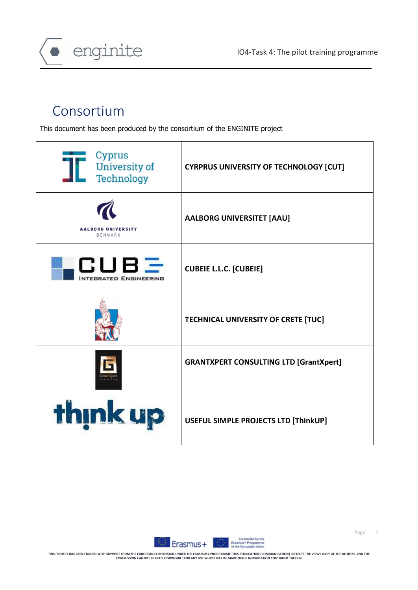

# Consortium

This document has been produced by the consortium of the ENGINITE project

| Cyprus<br>University of<br>Technology | <b>CYRPRUS UNIVERSITY OF TECHNOLOGY [CUT]</b> |
|---------------------------------------|-----------------------------------------------|
| <b>AALBORG UNIVERSITY</b><br>DENMARK  | <b>AALBORG UNIVERSITET [AAU]</b>              |
| CUBE<br><b>NTEGRATED ENGINEERING</b>  | <b>CUBEIE L.L.C. [CUBEIE]</b>                 |
|                                       | <b>TECHNICAL UNIVERSITY OF CRETE [TUC]</b>    |
|                                       | <b>GRANTXPERT CONSULTING LTD [GrantXpert]</b> |
| think up                              | USEFUL SIMPLE PROJECTS LTD [ThinkUP]          |



Page 2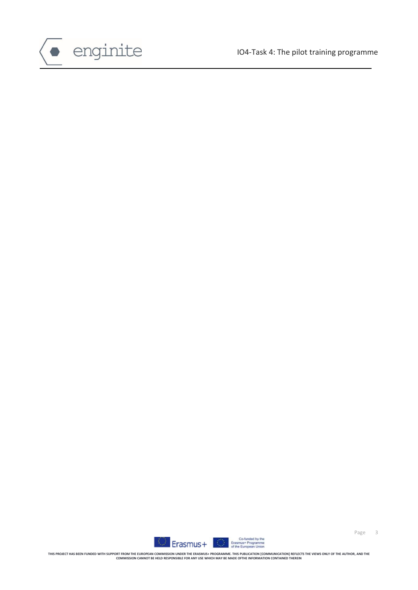

IO4-Task 4: The pilot training programme



THIS PROJECT HAS BEEN FUNDED WITH SUPPORT FROM THE EUROPEAN COMMISSION UNDER THE ERASMUS+ PROGRAMME. THIS PUBLICATION [COMMUNICATION] REFLECTS THE VIEWS ONLY OF THE AUTHOR, AND THE<br>COMMISSION CANNOT BE HILD RESPONSIEL FOR

Page 3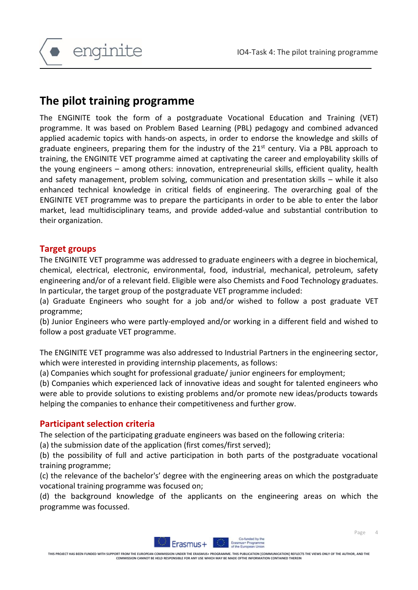

## **The pilot training programme**

The ENGINITE took the form of a postgraduate Vocational Education and Training (VET) programme. It was based on Problem Based Learning (PBL) pedagogy and combined advanced applied academic topics with hands-on aspects, in order to endorse the knowledge and skills of graduate engineers, preparing them for the industry of the 21<sup>st</sup> century. Via a PBL approach to training, the ENGINITE VET programme aimed at captivating the career and employability skills of the young engineers – among others: innovation, entrepreneurial skills, efficient quality, health and safety management, problem solving, communication and presentation skills – while it also enhanced technical knowledge in critical fields of engineering. The overarching goal of the ENGINITE VET programme was to prepare the participants in order to be able to enter the labor market, lead multidisciplinary teams, and provide added-value and substantial contribution to their organization.

#### **Target groups**

The ENGINITE VET programme was addressed to graduate engineers with a degree in biochemical, chemical, electrical, electronic, environmental, food, industrial, mechanical, petroleum, safety engineering and/or of a relevant field. Eligible were also Chemists and Food Technology graduates. In particular, the target group of the postgraduate VET programme included:

(a) Graduate Engineers who sought for a job and/or wished to follow a post graduate VET programme;

(b) Junior Engineers who were partly-employed and/or working in a different field and wished to follow a post graduate VET programme.

The ENGINITE VET programme was also addressed to Industrial Partners in the engineering sector, which were interested in providing internship placements, as follows:

(a) Companies which sought for professional graduate/ junior engineers for employment;

(b) Companies which experienced lack of innovative ideas and sought for talented engineers who were able to provide solutions to existing problems and/or promote new ideas/products towards helping the companies to enhance their competitiveness and further grow.

#### **Participant selection criteria**

The selection of the participating graduate engineers was based on the following criteria:

(a) the submission date of the application (first comes/first served);

(b) the possibility of full and active participation in both parts of the postgraduate vocational training programme;

(c) the relevance of the bachelor's' degree with the engineering areas on which the postgraduate vocational training programme was focused on;

(d) the background knowledge of the applicants on the engineering areas on which the programme was focussed.

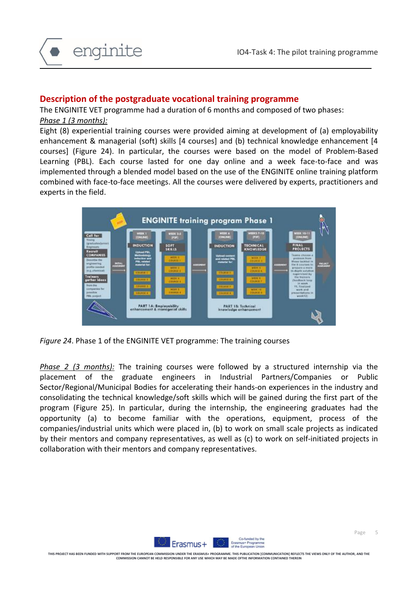

#### **Description of the postgraduate vocational training programme**

The ENGINITE VET programme had a duration of 6 months and composed of two phases: *Phase 1 (3 months):*

Eight (8) experiential training courses were provided aiming at development of (a) employability enhancement & managerial (soft) skills [4 courses] and (b) technical knowledge enhancement [4 courses] (Figure 24). In particular, the courses were based on the model of Problem-Based Learning (PBL). Each course lasted for one day online and a week face-to-face and was implemented through a blended model based on the use of the ENGINITE online training platform combined with face-to-face meetings. All the courses were delivered by experts, practitioners and experts in the field.



*Figure 24*. Phase 1 of the ENGINITE VET programme: The training courses

*Phase 2 (3 months):* The training courses were followed by a structured internship via the placement of the graduate engineers in Industrial Partners/Companies or Public Sector/Regional/Municipal Bodies for accelerating their hands-on experiences in the industry and consolidating the technical knowledge/soft skills which will be gained during the first part of the program (Figure 25). In particular, during the internship, the engineering graduates had the opportunity (a) to become familiar with the operations, equipment, process of the companies/industrial units which were placed in, (b) to work on small scale projects as indicated by their mentors and company representatives, as well as (c) to work on self-initiated projects in collaboration with their mentors and company representatives.

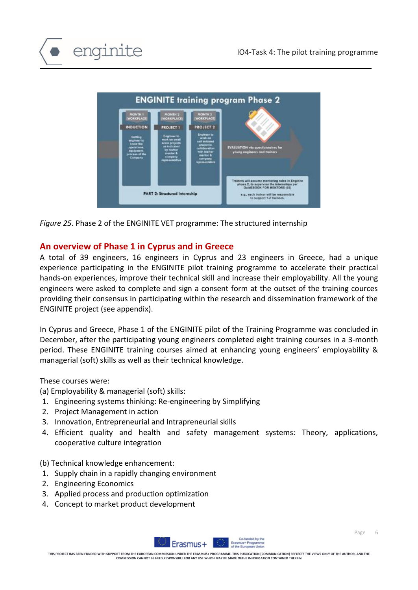



*Figure 25*. Phase 2 of the ENGINITE VET programme: The structured internship

#### **An overview of Phase 1 in Cyprus and in Greece**

A total of 39 engineers, 16 engineers in Cyprus and 23 engineers in Greece, had a unique experience participating in the ENGINITE pilot training programme to accelerate their practical hands-on experiences, improve their technical skill and increase their employability. All the young engineers were asked to complete and sign a consent form at the outset of the training cources providing their consensus in participating within the research and dissemination framework of the ENGINITE project (see appendix).

In Cyprus and Greece, Phase 1 of the ENGINITE pilot of the Training Programme was concluded in December, after the participating young engineers completed eight training courses in a 3-month period. These ENGINITE training courses aimed at enhancing young engineers' employability & managerial (soft) skills as well as their technical knowledge.

#### These courses were:

(a) Employability & managerial (soft) skills:

- 1. Engineering systems thinking: Re-engineering by Simplifying
- 2. Project Management in action
- 3. Innovation, Entrepreneurial and Intrapreneurial skills
- 4. Efficient quality and health and safety management systems: Theory, applications, cooperative culture integration

(b) Technical knowledge enhancement:

- 1. Supply chain in a rapidly changing environment
- 2. Engineering Economics
- 3. Applied process and production optimization
- 4. Concept to market product development



**THIS PROJECT HAS BEEN FUNDED WITH SUPPORT FROM THE EUROPEAN COMMISSION UNDER THE ERASMUS+ PROGRAMME. THIS PUBLICATION [COMMUNICATION] REFLECTS THE VIEWS ONLY OF THE AUTHOR, AND THE COMMISSION CAN COMMISSION CAN ALL CANOTICS AND LOCAL MANY BE MADE OFTHE I**<br>CANNOT BE HELD RESPONSIBLE FOR ANY USE WHICH MAY BE MADE OFTHE I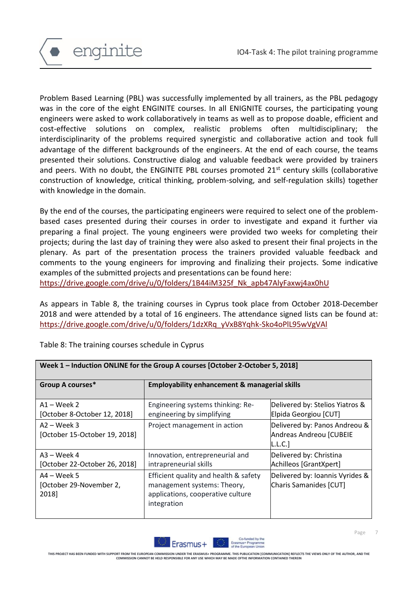

Problem Based Learning (PBL) was successfully implemented by all trainers, as the PBL pedagogy was in the core of the eight ENGINITE courses. In all ENIGNITE courses, the participating young engineers were asked to work collaboratively in teams as well as to propose doable, efficient and cost-effective solutions on complex, realistic problems often multidisciplinary; the interdisciplinarity of the problems required synergistic and collaborative action and took full advantage of the different backgrounds of the engineers. At the end of each course, the teams presented their solutions. Constructive dialog and valuable feedback were provided by trainers and peers. With no doubt, the ENGINITE PBL courses promoted  $21<sup>st</sup>$  century skills (collaborative construction of knowledge, critical thinking, problem-solving, and self-regulation skills) together with knowledge in the domain.

By the end of the courses, the participating engineers were required to select one of the problembased cases presented during their courses in order to investigate and expand it further via preparing a final project. The young engineers were provided two weeks for completing their projects; during the last day of training they were also asked to present their final projects in the plenary. As part of the presentation process the trainers provided valuable feedback and comments to the young engineers for improving and finalizing their projects. Some indicative examples of the submitted projects and presentations can be found here: [https://drive.google.com/drive/u/0/folders/1B44iM325f\\_Nk\\_apb47AlyFaxwj4ax0hU](https://drive.google.com/drive/u/0/folders/1B44iM325f_Nk_apb47AlyFaxwj4ax0hU)

As appears in Table 8, the training courses in Cyprus took place from October 2018-December 2018 and were attended by a total of 16 engineers. The attendance signed lists can be found at: [https://drive.google.com/drive/u/0/folders/1dzXRq\\_yVxB8Yqhk-Sko4oPlL95wVgVAl](https://drive.google.com/drive/u/0/folders/1dzXRq_yVxB8Yqhk-Sko4oPlL95wVgVAl)

| Week 1 - Induction ONLINE for the Group A courses [October 2-October 5, 2018] |                                                                                                                          |                                                                     |  |  |  |  |
|-------------------------------------------------------------------------------|--------------------------------------------------------------------------------------------------------------------------|---------------------------------------------------------------------|--|--|--|--|
| Group A courses*                                                              | <b>Employability enhancement &amp; managerial skills</b>                                                                 |                                                                     |  |  |  |  |
| $A1 -$ Week 2<br>[October 8-October 12, 2018]                                 | Engineering systems thinking: Re-<br>engineering by simplifying                                                          | Delivered by: Stelios Yiatros &<br>Elpida Georgiou [CUT]            |  |  |  |  |
| $A2 - Week 3$<br>[October 15-October 19, 2018]                                | Project management in action                                                                                             | Delivered by: Panos Andreou &<br>Andreas Andreou [CUBEIE<br>L.L.C.] |  |  |  |  |
| A3 – Week 4<br>[October 22-October 26, 2018]                                  | Innovation, entrepreneurial and<br>intrapreneurial skills                                                                | Delivered by: Christina<br>Achilleos [GrantXpert]                   |  |  |  |  |
| A4 – Week 5<br>[October 29-November 2,<br>2018]                               | Efficient quality and health & safety<br>management systems: Theory,<br>applications, cooperative culture<br>integration | Delivered by: Ioannis Vyrides &<br>Charis Samanides [CUT]           |  |  |  |  |

Table 8: The training courses schedule in Cyprus

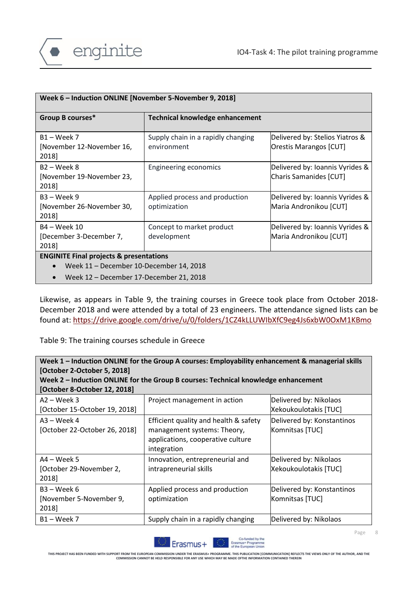

| Week 6 - Induction ONLINE [November 5-November 9, 2018]                                                                                  |                                                   |                                                           |  |  |  |
|------------------------------------------------------------------------------------------------------------------------------------------|---------------------------------------------------|-----------------------------------------------------------|--|--|--|
| Group B courses*                                                                                                                         | <b>Technical knowledge enhancement</b>            |                                                           |  |  |  |
| $B1 -$ Week 7<br>[November 12-November 16,<br>2018]                                                                                      | Supply chain in a rapidly changing<br>environment | Delivered by: Stelios Yiatros &<br>Orestis Marangos [CUT] |  |  |  |
| $B2 - Week 8$<br>[November 19-November 23,<br>2018                                                                                       | <b>Engineering economics</b>                      | Delivered by: Ioannis Vyrides &<br>Charis Samanides [CUT] |  |  |  |
| $B3 - Week9$<br>[November 26-November 30,<br>2018]                                                                                       | Applied process and production<br>optimization    | Delivered by: Ioannis Vyrides &<br>Maria Andronikou [CUT] |  |  |  |
| B4 - Week 10<br>[December 3-December 7,<br>2018                                                                                          | Concept to market product<br>development          | Delivered by: Ioannis Vyrides &<br>Maria Andronikou [CUT] |  |  |  |
| <b>ENGINITE Final projects &amp; presentations</b><br>Week 11 - December 10-December 14, 2018<br>Week 12 - December 17-December 21, 2018 |                                                   |                                                           |  |  |  |

Likewise, as appears in Table 9, the training courses in Greece took place from October 2018- December 2018 and were attended by a total of 23 engineers. The attendance signed lists can be found at:<https://drive.google.com/drive/u/0/folders/1CZ4kLLUWIbXfC9eg4Js6xbW0OxM1KBmo>

Table 9: The training courses schedule in Greece

| Week 1 - Induction ONLINE for the Group A courses: Employability enhancement & managerial skills<br>[October 2-October 5, 2018]<br>Week 2 - Induction ONLINE for the Group B courses: Technical knowledge enhancement<br>[October 8-October 12, 2018] |                                                                                                                          |                                                 |  |  |  |
|-------------------------------------------------------------------------------------------------------------------------------------------------------------------------------------------------------------------------------------------------------|--------------------------------------------------------------------------------------------------------------------------|-------------------------------------------------|--|--|--|
| $A2 - Week 3$<br>[October 15-October 19, 2018]                                                                                                                                                                                                        | Project management in action                                                                                             | Delivered by: Nikolaos<br>Xekoukoulotakis [TUC] |  |  |  |
| $A3 - Week 4$<br>[October 22-October 26, 2018]                                                                                                                                                                                                        | Efficient quality and health & safety<br>management systems: Theory,<br>applications, cooperative culture<br>integration | Delivered by: Konstantinos<br> Komnitsas [TUC]  |  |  |  |
| $AA - Week 5$<br>[October 29-November 2,<br>2018                                                                                                                                                                                                      | Innovation, entrepreneurial and<br>intrapreneurial skills                                                                | Delivered by: Nikolaos<br>Xekoukoulotakis [TUC] |  |  |  |
| $B3 - Week 6$<br>[November 5-November 9,<br>2018]                                                                                                                                                                                                     | Applied process and production<br>optimization                                                                           | Delivered by: Konstantinos<br>Komnitsas [TUC]   |  |  |  |
| $B1 -$ Week 7                                                                                                                                                                                                                                         | Supply chain in a rapidly changing                                                                                       | Delivered by: Nikolaos                          |  |  |  |

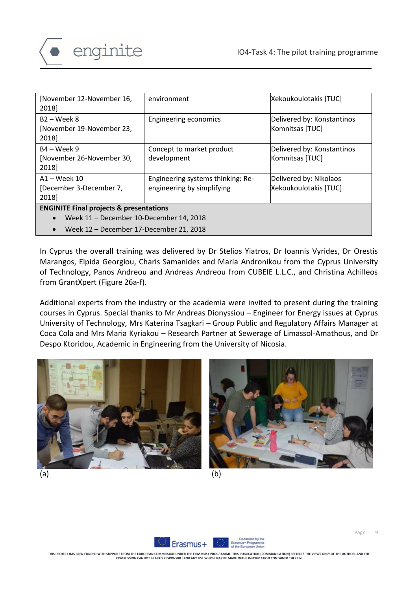

| [November 12-November 16,<br>2018]                            | environment                                                     | Xekoukoulotakis [TUC]                           |  |  |  |  |
|---------------------------------------------------------------|-----------------------------------------------------------------|-------------------------------------------------|--|--|--|--|
| B <sub>2</sub> – Week 8<br>[November 19-November 23,<br>2018] | <b>Engineering economics</b>                                    | Delivered by: Konstantinos<br>Komnitsas [TUC]   |  |  |  |  |
| $B4 - Week9$<br>[November 26-November 30,<br>2018]            | Concept to market product<br>development                        | Delivered by: Konstantinos<br>Komnitsas [TUC]   |  |  |  |  |
| $A1 -$ Week 10<br>[December 3-December 7,<br>2018]            | Engineering systems thinking: Re-<br>engineering by simplifying | Delivered by: Nikolaos<br>Xekoukoulotakis [TUC] |  |  |  |  |
| <b>ENGINITE Final projects &amp; presentations</b>            |                                                                 |                                                 |  |  |  |  |
| Week 11 - December 10-December 14, 2018                       |                                                                 |                                                 |  |  |  |  |
| Week 12 – December 17-December 21, 2018                       |                                                                 |                                                 |  |  |  |  |

In Cyprus the overall training was delivered by Dr Stelios Yiatros, Dr Ioannis Vyrides, Dr Orestis Marangos, Elpida Georgiou, Charis Samanides and Maria Andronikou from the Cyprus University of Technology, Panos Andreou and Andreas Andreou from CUBEIE L.L.C., and Christina Achilleos from GrantXpert (Figure 26a-f).

Additional experts from the industry or the academia were invited to present during the training courses in Cyprus. Special thanks to Mr Andreas Dionyssiou – Engineer for Energy issues at Cyprus University of Technology, Mrs Katerina Tsagkari – Group Public and Regulatory Affairs Manager at Coca Cola and Mrs Maria Kyriakou – Research Partner at Sewerage of Limassol-Amathous, and Dr Despo Ktoridou, Academic in Engineering from the University of Nicosia.



 $(a)$  (b)

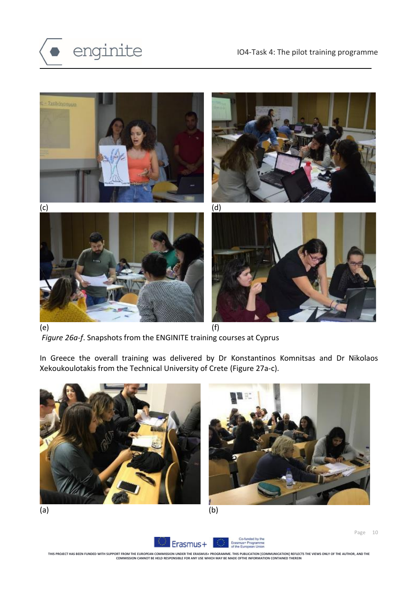





*Figure 26a-f*. Snapshots from the ENGINITE training courses at Cyprus

In Greece the overall training was delivered by Dr Konstantinos Komnitsas and Dr Nikolaos Xekoukoulotakis from the Technical University of Crete (Figure 27a-c).







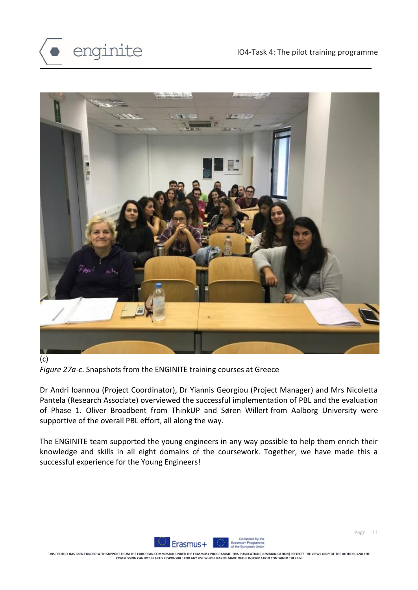



(c)

*Figure 27a-c*. Snapshots from the ENGINITE training courses at Greece

Dr Andri Ioannou (Project Coordinator), Dr Yiannis Georgiou (Project Manager) and Mrs Nicoletta Pantela (Research Associate) overviewed the successful implementation of PBL and the evaluation of Phase 1. Oliver Broadbent from ThinkUP and Søren Willert from Aalborg University were supportive of the overall PBL effort, all along the way.

The ENGINITE team supported the young engineers in any way possible to help them enrich their knowledge and skills in all eight domains of the coursework. Together, we have made this a successful experience for the Young Engineers!



Page 11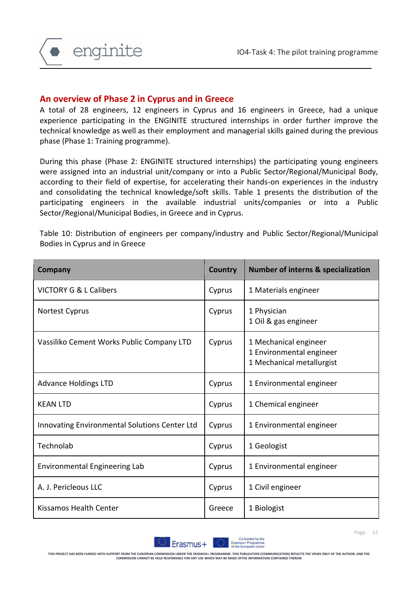



#### **An overview of Phase 2 in Cyprus and in Greece**

A total of 28 engineers, 12 engineers in Cyprus and 16 engineers in Greece, had a unique experience participating in the ENGINITE structured internships in order further improve the technical knowledge as well as their employment and managerial skills gained during the previous phase (Phase 1: Training programme).

During this phase (Phase 2: ENGINITE structured internships) the participating young engineers were assigned into an industrial unit/company or into a Public Sector/Regional/Municipal Body, according to their field of expertise, for accelerating their hands-on experiences in the industry and consolidating the technical knowledge/soft skills. Table 1 presents the distribution of the participating engineers in the available industrial units/companies or into a Public Sector/Regional/Municipal Bodies, in Greece and in Cyprus.

Table 10: Distribution of engineers per company/industry and Public Sector/Regional/Municipal Bodies in Cyprus and in Greece

| <b>Company</b>                                | <b>Country</b> | <b>Number of interns &amp; specialization</b>                                  |
|-----------------------------------------------|----------------|--------------------------------------------------------------------------------|
| <b>VICTORY G &amp; L Calibers</b>             | Cyprus         | 1 Materials engineer                                                           |
| Nortest Cyprus                                | Cyprus         | 1 Physician<br>1 Oil & gas engineer                                            |
| Vassiliko Cement Works Public Company LTD     | Cyprus         | 1 Mechanical engineer<br>1 Environmental engineer<br>1 Mechanical metallurgist |
| <b>Advance Holdings LTD</b>                   | Cyprus         | 1 Environmental engineer                                                       |
| <b>KEAN LTD</b>                               | Cyprus         | 1 Chemical engineer                                                            |
| Innovating Environmental Solutions Center Ltd | Cyprus         | 1 Environmental engineer                                                       |
| Technolab                                     | Cyprus         | 1 Geologist                                                                    |
| <b>Environmental Engineering Lab</b>          | Cyprus         | 1 Environmental engineer                                                       |
| A. J. Pericleous LLC                          | Cyprus         | 1 Civil engineer                                                               |
| <b>Kissamos Health Center</b>                 | Greece         | 1 Biologist                                                                    |

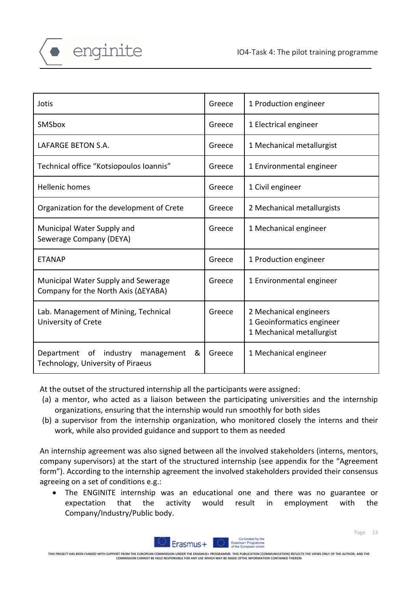| Jotis                                                                               | Greece | 1 Production engineer                                                            |  |  |  |
|-------------------------------------------------------------------------------------|--------|----------------------------------------------------------------------------------|--|--|--|
| SMSbox                                                                              | Greece | 1 Electrical engineer                                                            |  |  |  |
| LAFARGE BETON S.A.                                                                  | Greece | 1 Mechanical metallurgist                                                        |  |  |  |
| Technical office "Kotsiopoulos Ioannis"                                             | Greece | 1 Environmental engineer                                                         |  |  |  |
| <b>Hellenic homes</b>                                                               | Greece | 1 Civil engineer                                                                 |  |  |  |
| Organization for the development of Crete                                           | Greece | 2 Mechanical metallurgists                                                       |  |  |  |
| Municipal Water Supply and<br>Sewerage Company (DEYA)                               | Greece | 1 Mechanical engineer                                                            |  |  |  |
| <b>ETANAP</b>                                                                       | Greece | 1 Production engineer                                                            |  |  |  |
| Municipal Water Supply and Sewerage<br>Company for the North Axis ( $\Delta$ EYABA) | Greece | 1 Environmental engineer                                                         |  |  |  |
| Lab. Management of Mining, Technical<br>University of Crete                         | Greece | 2 Mechanical engineers<br>1 Geoinformatics engineer<br>1 Mechanical metallurgist |  |  |  |
| Department of industry management<br>&<br>Technology, University of Piraeus         | Greece | 1 Mechanical engineer                                                            |  |  |  |

At the outset of the structured internship all the participants were assigned:

enginite

- (a) a mentor, who acted as a liaison between the participating universities and the internship organizations, ensuring that the internship would run smoothly for both sides
- (b) a supervisor from the internship organization, who monitored closely the interns and their work, while also provided guidance and support to them as needed

An internship agreement was also signed between all the involved stakeholders (interns, mentors, company supervisors) at the start of the structured internship (see appendix for the "Agreement form"). According to the internship agreement the involved stakeholders provided their consensus agreeing on a set of conditions e.g.:

• The ENGINITE internship was an educational one and there was no guarantee or expectation that the activity would result in employment with the Company/Industry/Public body.

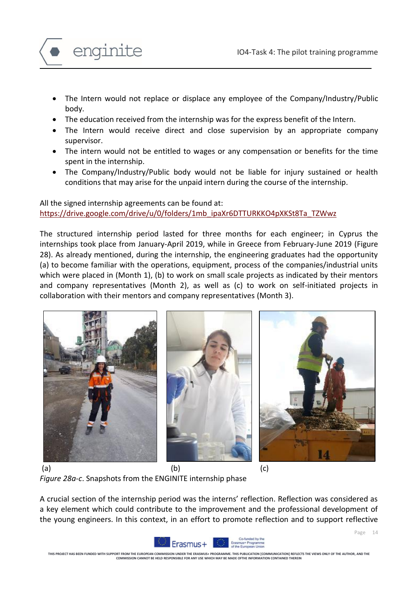



- The Intern would not replace or displace any employee of the Company/Industry/Public body.
- The education received from the internship was for the express benefit of the Intern.
- The Intern would receive direct and close supervision by an appropriate company supervisor.
- The intern would not be entitled to wages or any compensation or benefits for the time spent in the internship.
- The Company/Industry/Public body would not be liable for injury sustained or health conditions that may arise for the unpaid intern during the course of the internship.

All the signed internship agreements can be found at: [https://drive.google.com/drive/u/0/folders/1mb\\_ipaXr6DTTURKKO4pXKSt8Ta\\_TZWwz](https://drive.google.com/drive/u/0/folders/1mb_ipaXr6DTTURKKO4pXKSt8Ta_TZWwz)

The structured internship period lasted for three months for each engineer; in Cyprus the internships took place from January-April 2019, while in Greece from February-June 2019 (Figure 28). As already mentioned, during the internship, the engineering graduates had the opportunity (a) to become familiar with the operations, equipment, process of the companies/industrial units which were placed in (Month 1), (b) to work on small scale projects as indicated by their mentors and company representatives (Month 2), as well as (c) to work on self-initiated projects in collaboration with their mentors and company representatives (Month 3).



(a)  $(a)$  (b)  $(c)$ *Figure 28a-c*. Snapshots from the ENGINITE internship phase

A crucial section of the internship period was the interns' reflection. Reflection was considered as a key element which could contribute to the improvement and the professional development of the young engineers. In this context, in an effort to promote reflection and to support reflective



**THIS PROJECT HAS BEEN FUNDED WITH SUPPORT FROM THE EUROPEAN COMMISSION UNDER THE ERASMUS+ PROGRAMME. THIS PUBLICATION [COMMUNICATION] REFLECTS THE VIEWS ONLY OF THE AUTHOR, AND THE COMMISSION CANNOT BE HELD RESPONSIBLE FOR ANY USE WHICH MAY BE MADE OFTHE INFORMATION CONTAINED THEREIN**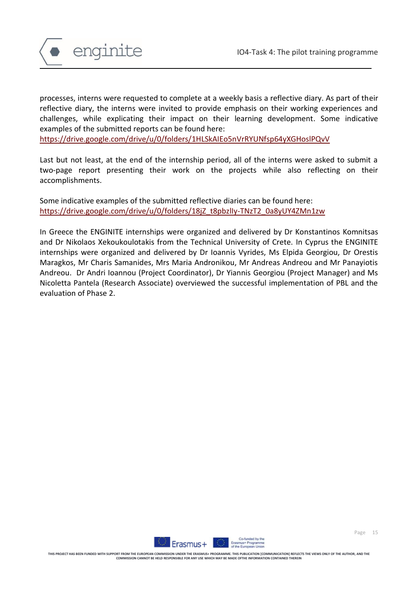

processes, interns were requested to complete at a weekly basis a reflective diary. As part of their reflective diary, the interns were invited to provide emphasis on their working experiences and challenges, while explicating their impact on their learning development. Some indicative examples of the submitted reports can be found here:

<https://drive.google.com/drive/u/0/folders/1HLSkAIEo5nVrRYUNfsp64yXGHoslPQvV>

Last but not least, at the end of the internship period, all of the interns were asked to submit a two-page report presenting their work on the projects while also reflecting on their accomplishments.

Some indicative examples of the submitted reflective diaries can be found here: [https://drive.google.com/drive/u/0/folders/18jZ\\_t8pbzlIy-TNzT2\\_0a8yUY4ZMn1zw](https://drive.google.com/drive/u/0/folders/18jZ_t8pbzlIy-TNzT2_0a8yUY4ZMn1zw)

In Greece the ENGINITE internships were organized and delivered by Dr Konstantinos Komnitsas and Dr Nikolaos Xekoukoulotakis from the Technical University of Crete. In Cyprus the ENGINITE internships were organized and delivered by Dr Ioannis Vyrides, Ms Elpida Georgiou, Dr Orestis Maragkos, Mr Charis Samanides, Mrs Maria Andronikou, Mr Andreas Andreou and Mr Panayiotis Andreou. Dr Andri Ioannou (Project Coordinator), Dr Yiannis Georgiou (Project Manager) and Ms Nicoletta Pantela (Research Associate) overviewed the successful implementation of PBL and the evaluation of Phase 2.

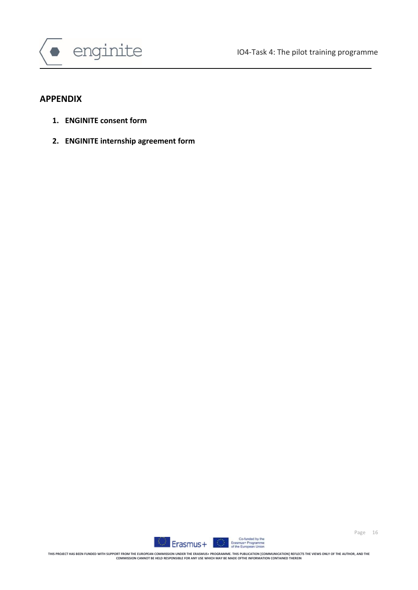IO4-Task 4: The pilot training programme



#### **APPENDIX**

- **1. ENGINITE consent form**
- **2. ENGINITE internship agreement form**

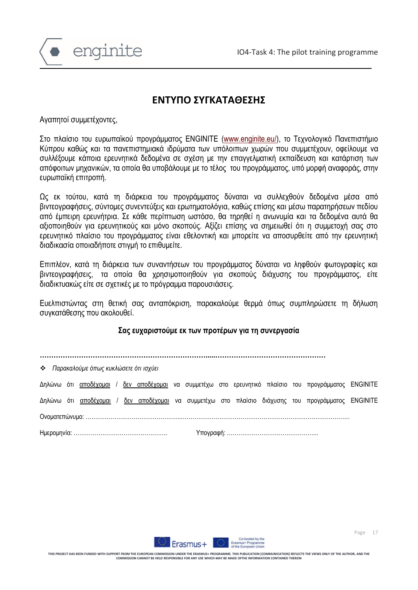

### **ΕΝΤΥΠΟ ΣΥΓΚΑΤΑΘΕΣΗΣ**

Αγαπητοί συμμετέχοντες,

Στο πλαίσιο του ευρωπαϊκού προγράμματος ENGINITE [\(www.enginite.eu/](http://www.enginite.eu/)), το Τεχνολογικό Πανεπιστήμιο Κύπρου καθώς και τα πανεπιστημιακά ιδρύματα των υπόλοιπων χωρών που συμμετέχουν, οφείλουμε να συλλέξουμε κάποια ερευνητικά δεδομένα σε σχέση με την επαγγελματική εκπαίδευση και κατάρτιση των απόφοιτων μηχανικών, τα οποία θα υποβάλουμε με το τέλος του προγράμματος, υπό μορφή αναφοράς, στην ευρωπαϊκή επιτροπή.

Ως εκ τούτου, κατά τη διάρκεια του προγράμματος δύναται να συλλεχθούν δεδομένα μέσα από βιντεογραφήσεις, σύντομες συνεντεύξεις και ερωτηματολόγια, καθώς επίσης και μέσω παρατηρήσεων πεδίου από έμπειρη ερευνήτρια. Σε κάθε περίπτωση ωστόσο, θα τηρηθεί η ανωνυμία και τα δεδομένα αυτά θα αξιοποιηθούν για ερευνητικούς και μόνο σκοπούς. Αξίζει επίσης να σημειωθεί ότι η συμμετοχή σας στο ερευνητικό πλαίσιο του προγράμματος είναι εθελοντική και μπορείτε να αποσυρθείτε από την ερευνητική διαδικασία οποιαδήποτε στιγμή το επιθυμείτε.

Επιπλέον, κατά τη διάρκεια των συναντήσεων του προγράμματος δύναται να ληφθούν φωτογραφίες και βιντεογραφήσεις, τα οποία θα χρησιμοποιηθούν για σκοπούς διάχυσης του προγράμματος, είτε διαδικτυακώς είτε σε σχετικές με το πρόγραμμα παρουσιάσεις.

Ευελπιστώντας στη θετική σας ανταπόκριση, παρακαλούμε θερμά όπως συμπληρώσετε τη δήλωση συγκατάθεσης που ακολουθεί.

#### **Σας ευχαριστούμε εκ των προτέρων για τη συνεργασία**

|  | <b>*</b> Παρακαλούμε όπως κυκλώσετε ότι ισχύει |  |  |  |  |                                                                                                                  |  |
|--|------------------------------------------------|--|--|--|--|------------------------------------------------------------------------------------------------------------------|--|
|  |                                                |  |  |  |  | Δηλώνω ότι αποδέχομαι / δεν αποδέχομαι να συμμετέχω στο ερευνητικό πλαίσιο του προγράμματος ENGINITE             |  |
|  |                                                |  |  |  |  | Δηλώνω ότι <u>αποδέχομαι</u> / <u>δεν αποδέχομαι</u> να συμμετέχω στο πλαίσιο διάχυσης του προγράμματος ENGINITE |  |
|  |                                                |  |  |  |  |                                                                                                                  |  |
|  |                                                |  |  |  |  |                                                                                                                  |  |

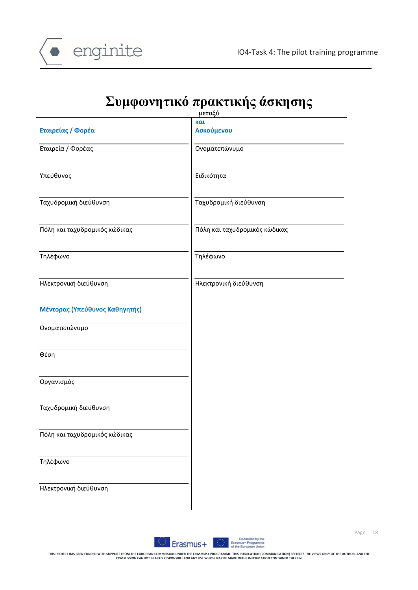

# **Συμφωνητικό πρακτικής άσκησης**

| μεταξύ                         |                               |  |  |  |  |  |  |
|--------------------------------|-------------------------------|--|--|--|--|--|--|
|                                | και                           |  |  |  |  |  |  |
| Εταιρείας / Φορέα              | Ασκούμενου                    |  |  |  |  |  |  |
|                                |                               |  |  |  |  |  |  |
| Εταιρεία / Φορέας              | Ονοματεπώνυμο                 |  |  |  |  |  |  |
|                                |                               |  |  |  |  |  |  |
| Υπεύθυνος                      | Ειδικότητα                    |  |  |  |  |  |  |
|                                |                               |  |  |  |  |  |  |
|                                |                               |  |  |  |  |  |  |
| Ταχυδρομική διεύθυνση          | Ταχυδρομική διεύθυνση         |  |  |  |  |  |  |
|                                |                               |  |  |  |  |  |  |
|                                |                               |  |  |  |  |  |  |
| Πόλη και ταχυδρομικός κώδικας  | Πόλη και ταχυδρομικός κώδικας |  |  |  |  |  |  |
|                                |                               |  |  |  |  |  |  |
|                                |                               |  |  |  |  |  |  |
| Τηλέφωνο                       | Τηλέφωνο                      |  |  |  |  |  |  |
|                                |                               |  |  |  |  |  |  |
| Ηλεκτρονική διεύθυνση          | Ηλεκτρονική διεύθυνση         |  |  |  |  |  |  |
|                                |                               |  |  |  |  |  |  |
|                                |                               |  |  |  |  |  |  |
| Μέντορας (Υπεύθυνος Καθηγητής) |                               |  |  |  |  |  |  |
|                                |                               |  |  |  |  |  |  |
| Ονοματεπώνυμο                  |                               |  |  |  |  |  |  |
|                                |                               |  |  |  |  |  |  |
| Θέση                           |                               |  |  |  |  |  |  |
|                                |                               |  |  |  |  |  |  |
|                                |                               |  |  |  |  |  |  |
| Οργανισμός                     |                               |  |  |  |  |  |  |
|                                |                               |  |  |  |  |  |  |
|                                |                               |  |  |  |  |  |  |
| Ταχυδρομική διεύθυνση          |                               |  |  |  |  |  |  |
|                                |                               |  |  |  |  |  |  |
| Πόλη και ταχυδρομικός κώδικας  |                               |  |  |  |  |  |  |
|                                |                               |  |  |  |  |  |  |
|                                |                               |  |  |  |  |  |  |
| Τηλέφωνο                       |                               |  |  |  |  |  |  |
|                                |                               |  |  |  |  |  |  |
|                                |                               |  |  |  |  |  |  |
| Ηλεκτρονική διεύθυνση          |                               |  |  |  |  |  |  |
|                                |                               |  |  |  |  |  |  |
|                                |                               |  |  |  |  |  |  |

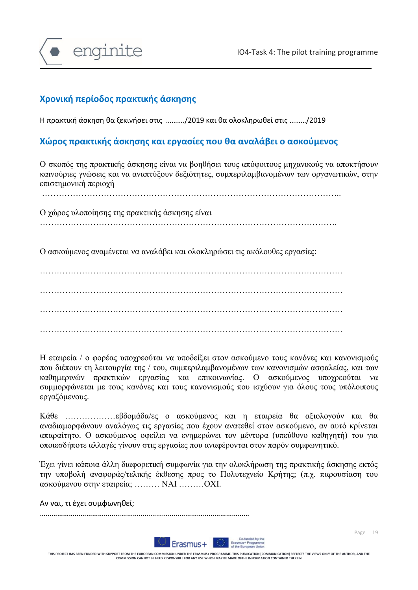



### **Χρονική περίοδος πρακτικής άσκησης**

Η πρακτική άσκηση θα ξεκινήσει στις ………./2019 και θα ολοκληρωθεί στις ………/2019

#### **Χώρος πρακτικής άσκησης και εργασίες που θα αναλάβει ο ασκούμενος**

Ο σκοπός της πρακτικής άσκησης είναι να βοηθήσει τους απόφοιτους μηχανικούς να αποκτήσουν καινούριες γνώσεις και να αναπτύξουν δεξιότητες, συμπεριλαμβανομένων των οργανωτικών, στην επιστημονική περιοχή

……………………………………………………………………………………………..

Ο χώρος υλοποίησης της πρακτικής άσκησης είναι …………………………………………………………………………………………….

Ο ασκούμενος αναμένεται να αναλάβει και ολοκληρώσει τις ακόλουθες εργασίες:

……………………………………………………………………………………………… ……………………………………………………………………………………………… ……………………………………………………………………………………………… ………………………………………………………………………………………………

Η εταιρεία / ο φορέας υποχρεούται να υποδείξει στον ασκούμενο τους κανόνες και κανονισμούς που διέπουν τη λειτουργία της / του, συμπεριλαμβανομένων των κανονισμών ασφαλείας, και των καθημερινών πρακτικών εργασίας και επικοινωνίας. Ο ασκούμενος υποχρεούται να συμμορφώνεται με τους κανόνες και τους κανονισμούς που ισχύουν για όλους τους υπόλοιπους εργαζόμενους.

Κάθε ………………εβδομάδα/ες ο ασκούμενος και η εταιρεία θα αξιολογούν και θα αναδιαμορφώνουν αναλόγως τις εργασίες που έχουν ανατεθεί στον ασκούμενο, αν αυτό κρίνεται απαραίτητο. Ο ασκούμενος οφείλει να ενημερώνει τον μέντορα (υπεύθυνο καθηγητή) του για οποιεσδήποτε αλλαγές γίνουν στις εργασίες που αναφέρονται στον παρόν συμφωνητικό.

Έχει γίνει κάποια άλλη διαφορετική συμφωνία για την ολοκλήρωση της πρακτικής άσκησης εκτός την υποβολή αναφοράς/τελικής έκθεσης προς το Πολυτεχνείο Κρήτης; (π.χ. παρουσίαση του ασκούμενου στην εταιρεία; ……… ΝΑΙ ………ΟΧΙ.

Αν ναι, τι έχει συμφωνηθεί;

………………………………………………………………………………………………

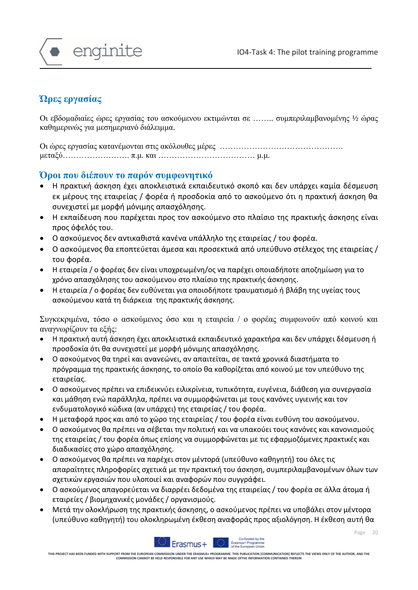enginite

### **Ώρες εργασίας**

Οι εβδομαδιαίες ώρες εργασίας του ασκούμενου εκτιμώνται σε …….. συμπεριλαμβανομένης ½ ώρας καθημερινώς για μεσημεριανό διάλειμμα.

Οι ώρες εργασίας κατανέμονται στις ακόλουθες μέρες ………………………………………. μεταξύ……………………. π.μ. και ……………………………… μ.μ.

#### **Όροι που διέπουν το παρόν συμφωνητικό**

- Η πρακτική άσκηση έχει αποκλειστικά εκπαιδευτικό σκοπό και δεν υπάρχει καμία δέσμευση εκ μέρους της εταιρείας / φορέα ή προσδοκία από το ασκούμενο ότι η πρακτική άσκηση θα συνεχιστεί με μορφή μόνιμης απασχόλησης.
- Η εκπαίδευση που παρέχεται προς τον ασκούμενο στο πλαίσιο της πρακτικής άσκησης είναι προς όφελός του.
- Ο ασκούμενος δεν αντικαθιστά κανένα υπάλληλο της εταιρείας / του φορέα.
- Ο ασκούμενος θα εποπτεύεται άμεσα και προσεκτικά από υπεύθυνο στέλεχος της εταιρείας / του φορέα.
- Η εταιρεία / ο φορέας δεν είναι υποχρεωμένη/ος να παρέχει οποιαδήποτε αποζημίωση για το χρόνο απασχόλησης του ασκούμενου στο πλαίσιο της πρακτικής άσκησης.
- Η εταιρεία / ο φορέας δεν ευθύνεται για οποιοδήποτε τραυματισμό ή βλάβη της υγείας τους ασκούμενου κατά τη διάρκεια της πρακτικής άσκησης.

Συγκεκριμένα, τόσο ο ασκούμενος όσο και η εταιρεία / ο φορέας συμφωνούν από κοινού και αναγνωρίζουν τα εξής:

- Η πρακτική αυτή άσκηση έχει αποκλειστικά εκπαιδευτικό χαρακτήρα και δεν υπάρχει δέσμευση ή προσδοκία ότι θα συνεχιστεί με μορφή μόνιμης απασχόλησης.
- Ο ασκούμενος θα τηρεί και ανανεώνει, αν απαιτείται, σε τακτά χρονικά διαστήματα το πρόγραμμα της πρακτικής άσκησης, το οποίο θα καθορίζεται από κοινού με τον υπεύθυνο της εταιρείας.
- Ο ασκούμενος πρέπει να επιδεικνύει ειλικρίνεια, τυπικότητα, ευγένεια, διάθεση για συνεργασία και μάθηση ενώ παράλληλα, πρέπει να συμμορφώνεται με τους κανόνες υγιεινής και τον ενδυματολογικό κώδικα (αν υπάρχει) της εταιρείας / του φορέα.
- Η μεταφορά προς και από το χώρο της εταιρείας / του φορέα είναι ευθύνη του ασκούμενου.
- Ο ασκούμενος θα πρέπει να σέβεται την πολιτική και να υπακούει τους κανόνες και κανονισμούς της εταιρείας / του φορέα όπως επίσης να συμμορφώνεται με τις εφαρμοζόμενες πρακτικές και διαδικασίες στο χώρο απασχόλησης.
- Ο ασκούμενος θα πρέπει να παρέχει στον μέντορά (υπεύθυνο καθηγητή) του όλες τις απαραίτητες πληροφορίες σχετικά με την πρακτική του άσκηση, συμπεριλαμβανομένων όλων των σχετικών εργασιών που υλοποιεί και αναφορών που συγγράφει.
- Ο ασκούμενος απαγορεύεται να διαρρέει δεδομένα της εταιρείας / του φορέα σε άλλα άτομα ή εταιρείες / βιομηχανικές μονάδες / οργανισμούς.
- Μετά την ολοκλήρωση της πρακτικής άσκησης, ο ασκούμενος πρέπει να υποβάλει στον μέντορα (υπεύθυνο καθηγητή) του ολοκληρωμένη έκθεση αναφοράς προς αξιολόγηση. Η έκθεση αυτή θα



Page 20